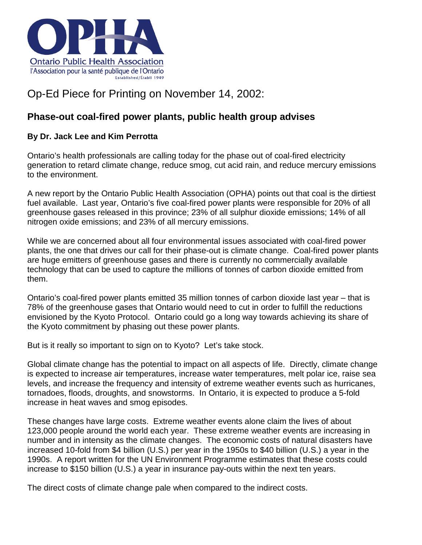

## Op-Ed Piece for Printing on November 14, 2002:

## **Phase-out coal-fired power plants, public health group advises**

## **By Dr. Jack Lee and Kim Perrotta**

Ontario's health professionals are calling today for the phase out of coal-fired electricity generation to retard climate change, reduce smog, cut acid rain, and reduce mercury emissions to the environment.

A new report by the Ontario Public Health Association (OPHA) points out that coal is the dirtiest fuel available. Last year, Ontario's five coal-fired power plants were responsible for 20% of all greenhouse gases released in this province; 23% of all sulphur dioxide emissions; 14% of all nitrogen oxide emissions; and 23% of all mercury emissions.

While we are concerned about all four environmental issues associated with coal-fired power plants, the one that drives our call for their phase-out is climate change. Coal-fired power plants are huge emitters of greenhouse gases and there is currently no commercially available technology that can be used to capture the millions of tonnes of carbon dioxide emitted from them.

Ontario's coal-fired power plants emitted 35 million tonnes of carbon dioxide last year – that is 78% of the greenhouse gases that Ontario would need to cut in order to fulfill the reductions envisioned by the Kyoto Protocol. Ontario could go a long way towards achieving its share of the Kyoto commitment by phasing out these power plants.

But is it really so important to sign on to Kyoto? Let's take stock.

Global climate change has the potential to impact on all aspects of life. Directly, climate change is expected to increase air temperatures, increase water temperatures, melt polar ice, raise sea levels, and increase the frequency and intensity of extreme weather events such as hurricanes, tornadoes, floods, droughts, and snowstorms. In Ontario, it is expected to produce a 5-fold increase in heat waves and smog episodes.

These changes have large costs. Extreme weather events alone claim the lives of about 123,000 people around the world each year. These extreme weather events are increasing in number and in intensity as the climate changes. The economic costs of natural disasters have increased 10-fold from \$4 billion (U.S.) per year in the 1950s to \$40 billion (U.S.) a year in the 1990s. A report written for the UN Environment Programme estimates that these costs could increase to \$150 billion (U.S.) a year in insurance pay-outs within the next ten years.

The direct costs of climate change pale when compared to the indirect costs.